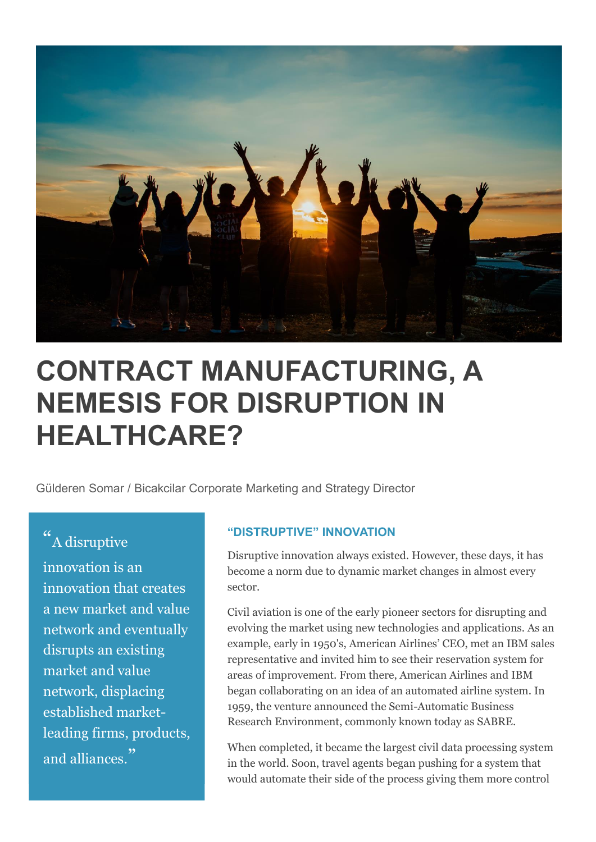

## **CONTRACT MANUFACTURING, A NEMESIS FOR DISRUPTION IN HEALTHCARE?**

Gülderen Somar / Bicakcilar Corporate Marketing and Strategy Director

## " A disruptive

innovation is an innovation that creates a new market and value network and eventually disrupts an existing market and value network, displacing established marketleading firms, products, and alliances."

## **"DISTRUPTIVE" INNOVATION**

Disruptive innovation always existed. However, these days, it has become a norm due to dynamic market changes in almost every sector.

Civil aviation is one of the early pioneer sectors for disrupting and evolving the market using new technologies and applications. As an example, early in 1950's, American Airlines' CEO, met an IBM sales representative and invited him to see their reservation system for areas of improvement. From there, American Airlines and IBM began collaborating on an idea of an automated airline system. In 1959, the venture announced the Semi-Automatic Business Research Environment, commonly known today as SABRE.

When completed, it became the largest civil data processing system in the world. Soon, travel agents began pushing for a system that would automate their side of the process giving them more control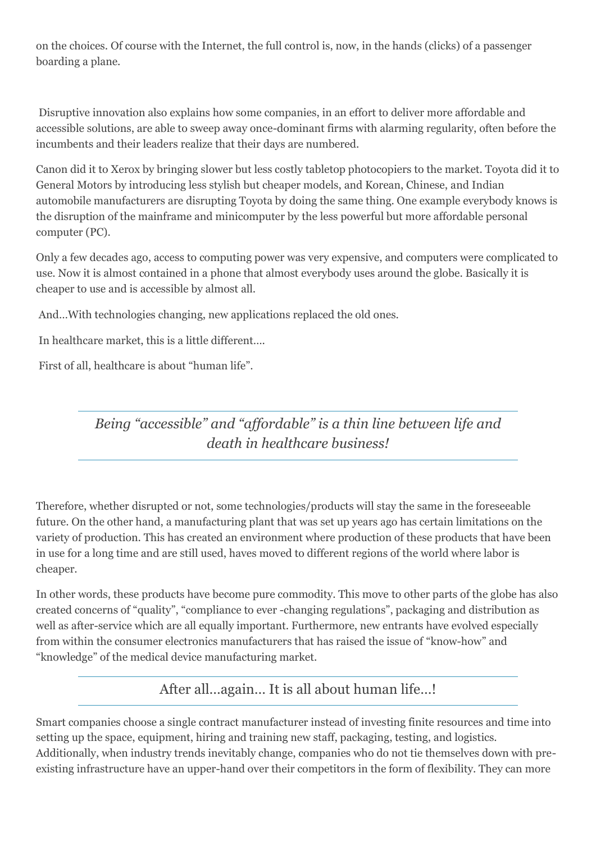on the choices. Of course with the Internet, the full control is, now, in the hands (clicks) of a passenger boarding a plane.

Disruptive innovation also explains how some companies, in an effort to deliver more affordable and accessible solutions, are able to sweep away once-dominant firms with alarming regularity, often before the incumbents and their leaders realize that their days are numbered.

Canon did it to Xerox by bringing slower but less costly tabletop photocopiers to the market. Toyota did it to General Motors by introducing less stylish but cheaper models, and Korean, Chinese, and Indian automobile manufacturers are disrupting Toyota by doing the same thing. One example everybody knows is the disruption of the mainframe and minicomputer by the less powerful but more affordable personal computer (PC).

Only a few decades ago, access to computing power was very expensive, and computers were complicated to use. Now it is almost contained in a phone that almost everybody uses around the globe. Basically it is cheaper to use and is accessible by almost all.

And…With technologies changing, new applications replaced the old ones.

In healthcare market, this is a little different….

First of all, healthcare is about "human life".

*Being "accessible" and "affordable" is a thin line between life and death in healthcare business!*

Therefore, whether disrupted or not, some technologies/products will stay the same in the foreseeable future. On the other hand, a manufacturing plant that was set up years ago has certain limitations on the variety of production. This has created an environment where production of these products that have been in use for a long time and are still used, haves moved to different regions of the world where labor is cheaper.

In other words, these products have become pure commodity. This move to other parts of the globe has also created concerns of "quality", "compliance to ever -changing regulations", packaging and distribution as well as after-service which are all equally important. Furthermore, new entrants have evolved especially from within the consumer electronics manufacturers that has raised the issue of "know-how" and "knowledge" of the medical device manufacturing market.

After all…again… It is all about human life…!

Smart companies choose a single contract manufacturer instead of investing finite resources and time into setting up the space, equipment, hiring and training new staff, packaging, testing, and logistics. Additionally, when industry trends inevitably change, companies who do not tie themselves down with preexisting infrastructure have an upper-hand over their competitors in the form of flexibility. They can more